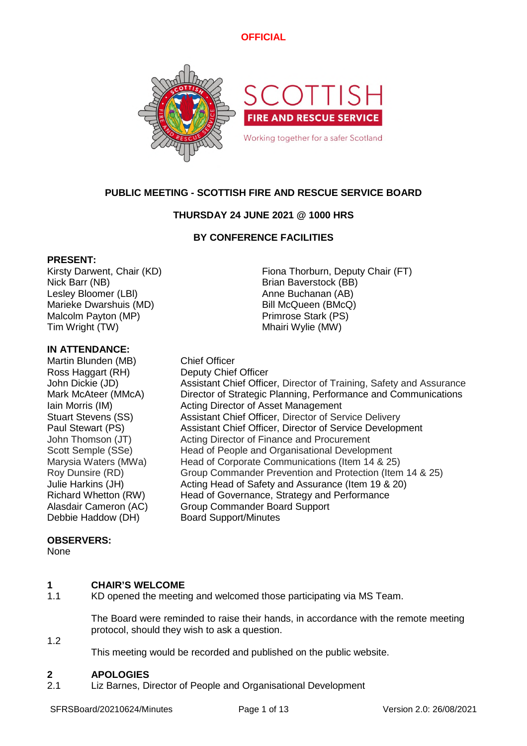

# **PUBLIC MEETING - SCOTTISH FIRE AND RESCUE SERVICE BOARD**

# **THURSDAY 24 JUNE 2021 @ 1000 HRS**

# **BY CONFERENCE FACILITIES**

### **PRESENT:**

Nick Barr (NB) Brian Baverstock (BB) Lesley Bloomer (LBI) Anne Buchanan (AB) Marieke Dwarshuis (MD) Bill McQueen (BMcQ) Malcolm Payton (MP) example a primrose Stark (PS) Tim Wright (TW) Tim Wright (TW)

### **IN ATTENDANCE:**

Martin Blunden (MB) Chief Officer Ross Haggart (RH) Deputy Chief Officer<br>
John Dickie (JD) Assistant Chief Office Debbie Haddow (DH) Board Support/Minutes

Kirsty Darwent, Chair (KD) Fiona Thorburn, Deputy Chair (FT)

Assistant Chief Officer, Director of Training, Safety and Assurance Mark McAteer (MMcA) Director of Strategic Planning, Performance and Communications Iain Morris (IM) **Acting Director of Asset Management** Stuart Stevens (SS) Assistant Chief Officer, Director of Service Delivery Paul Stewart (PS) Assistant Chief Officer, Director of Service Development John Thomson (JT) Acting Director of Finance and Procurement Scott Semple (SSe) Head of People and Organisational Development Marysia Waters (MWa) Head of Corporate Communications (Item 14 & 25) Roy Dunsire (RD) Group Commander Prevention and Protection (Item 14 & 25) Julie Harkins (JH) Acting Head of Safety and Assurance (Item 19 & 20) Richard Whetton (RW) Head of Governance, Strategy and Performance Alasdair Cameron (AC) Group Commander Board Support

# **OBSERVERS:**

None

### **1 CHAIR'S WELCOME**

1.1 KD opened the meeting and welcomed those participating via MS Team.

> The Board were reminded to raise their hands, in accordance with the remote meeting protocol, should they wish to ask a question.

1.2

This meeting would be recorded and published on the public website.

### **2 APOLOGIES**

2.1 Liz Barnes, Director of People and Organisational Development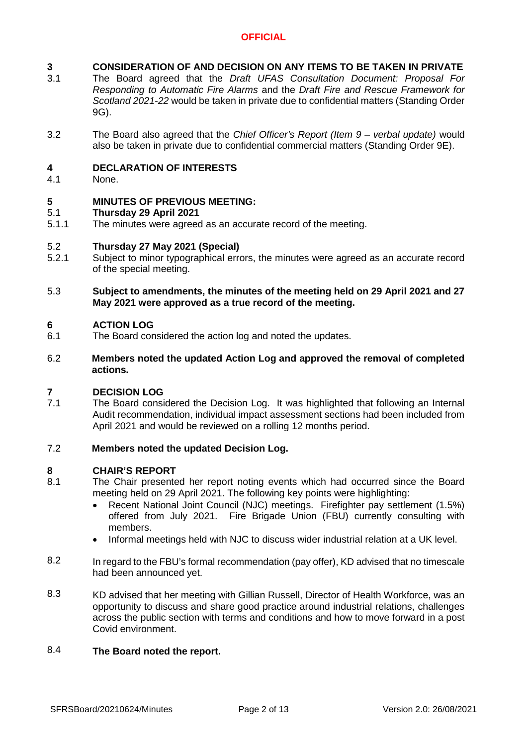### **3 CONSIDERATION OF AND DECISION ON ANY ITEMS TO BE TAKEN IN PRIVATE**

- 3.1 The Board agreed that the *Draft UFAS Consultation Document: Proposal For Responding to Automatic Fire Alarms* and the *Draft Fire and Rescue Framework for Scotland 2021-22* would be taken in private due to confidential matters (Standing Order 9G).
- 3.2 The Board also agreed that the *Chief Officer's Report (Item 9 – verbal update)* would also be taken in private due to confidential commercial matters (Standing Order 9E).

### **4 DECLARATION OF INTERESTS**

4.1 None.

### **5 MINUTES OF PREVIOUS MEETING:**

### 5.1 **Thursday 29 April 2021**

5.1.1 The minutes were agreed as an accurate record of the meeting.

### 5.2 **Thursday 27 May 2021 (Special)**

- 5.2.1 Subject to minor typographical errors, the minutes were agreed as an accurate record of the special meeting.
- 5.3 **Subject to amendments, the minutes of the meeting held on 29 April 2021 and 27 May 2021 were approved as a true record of the meeting.**

### **6 ACTION LOG**

- 6.1 The Board considered the action log and noted the updates.
- 6.2 **Members noted the updated Action Log and approved the removal of completed actions.**

#### **7 DECISION LOG**

7.1 The Board considered the Decision Log. It was highlighted that following an Internal Audit recommendation, individual impact assessment sections had been included from April 2021 and would be reviewed on a rolling 12 months period.

### 7.2 **Members noted the updated Decision Log.**

# **8 CHAIR'S REPORT**

- 8.1 The Chair presented her report noting events which had occurred since the Board meeting held on 29 April 2021. The following key points were highlighting:
	- Recent National Joint Council (NJC) meetings. Firefighter pay settlement (1.5%) offered from July 2021. Fire Brigade Union (FBU) currently consulting with members.
	- Informal meetings held with NJC to discuss wider industrial relation at a UK level.
- 8.2 In regard to the FBU's formal recommendation (pay offer), KD advised that no timescale had been announced yet.
- 8.3 KD advised that her meeting with Gillian Russell, Director of Health Workforce, was an opportunity to discuss and share good practice around industrial relations, challenges across the public section with terms and conditions and how to move forward in a post Covid environment.

### 8.4 **The Board noted the report.**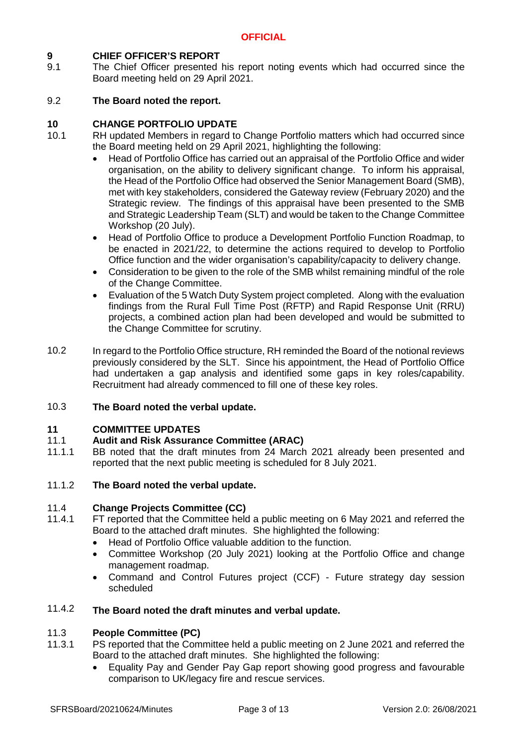# **9 CHIEF OFFICER'S REPORT**

9.1 The Chief Officer presented his report noting events which had occurred since the Board meeting held on 29 April 2021.

### 9.2 **The Board noted the report.**

# **10 CHANGE PORTFOLIO UPDATE**

- 10.1 RH updated Members in regard to Change Portfolio matters which had occurred since the Board meeting held on 29 April 2021, highlighting the following:
	- Head of Portfolio Office has carried out an appraisal of the Portfolio Office and wider organisation, on the ability to delivery significant change. To inform his appraisal, the Head of the Portfolio Office had observed the Senior Management Board (SMB), met with key stakeholders, considered the Gateway review (February 2020) and the Strategic review. The findings of this appraisal have been presented to the SMB and Strategic Leadership Team (SLT) and would be taken to the Change Committee Workshop (20 July).
	- Head of Portfolio Office to produce a Development Portfolio Function Roadmap, to be enacted in 2021/22, to determine the actions required to develop to Portfolio Office function and the wider organisation's capability/capacity to delivery change.
	- Consideration to be given to the role of the SMB whilst remaining mindful of the role of the Change Committee.
	- Evaluation of the 5 Watch Duty System project completed. Along with the evaluation findings from the Rural Full Time Post (RFTP) and Rapid Response Unit (RRU) projects, a combined action plan had been developed and would be submitted to the Change Committee for scrutiny.
- 10.2 In regard to the Portfolio Office structure, RH reminded the Board of the notional reviews previously considered by the SLT. Since his appointment, the Head of Portfolio Office had undertaken a gap analysis and identified some gaps in key roles/capability. Recruitment had already commenced to fill one of these key roles.

### 10.3 **The Board noted the verbal update.**

# **11 COMMITTEE UPDATES**

### 11.1 **Audit and Risk Assurance Committee (ARAC)**

11.1.1 BB noted that the draft minutes from 24 March 2021 already been presented and reported that the next public meeting is scheduled for 8 July 2021.

### 11.1.2 **The Board noted the verbal update.**

#### 11.4 **Change Projects Committee (CC)**

- 11.4.1 FT reported that the Committee held a public meeting on 6 May 2021 and referred the Board to the attached draft minutes. She highlighted the following:
	- Head of Portfolio Office valuable addition to the function.
	- Committee Workshop (20 July 2021) looking at the Portfolio Office and change management roadmap.
	- Command and Control Futures project (CCF) Future strategy day session scheduled

### 11.4.2 **The Board noted the draft minutes and verbal update.**

#### 11.3 **People Committee (PC)**

- 11.3.1 PS reported that the Committee held a public meeting on 2 June 2021 and referred the Board to the attached draft minutes. She highlighted the following:
	- Equality Pay and Gender Pay Gap report showing good progress and favourable comparison to UK/legacy fire and rescue services.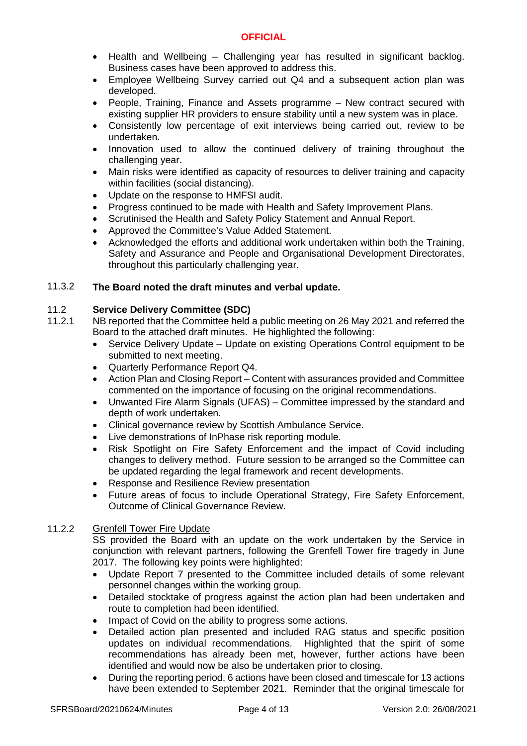- Health and Wellbeing Challenging year has resulted in significant backlog. Business cases have been approved to address this.
- Employee Wellbeing Survey carried out Q4 and a subsequent action plan was developed.
- People, Training, Finance and Assets programme New contract secured with existing supplier HR providers to ensure stability until a new system was in place.
- Consistently low percentage of exit interviews being carried out, review to be undertaken.
- Innovation used to allow the continued delivery of training throughout the challenging year.
- Main risks were identified as capacity of resources to deliver training and capacity within facilities (social distancing).
- Update on the response to HMFSI audit.
- Progress continued to be made with Health and Safety Improvement Plans.
- Scrutinised the Health and Safety Policy Statement and Annual Report.
- Approved the Committee's Value Added Statement.
- Acknowledged the efforts and additional work undertaken within both the Training, Safety and Assurance and People and Organisational Development Directorates, throughout this particularly challenging year.

### 11.3.2 **The Board noted the draft minutes and verbal update.**

### 11.2 **Service Delivery Committee (SDC)**

- 11.2.1 NB reported that the Committee held a public meeting on 26 May 2021 and referred the Board to the attached draft minutes. He highlighted the following:
	- Service Delivery Update Update on existing Operations Control equipment to be submitted to next meeting.
	- Quarterly Performance Report Q4.
	- Action Plan and Closing Report Content with assurances provided and Committee commented on the importance of focusing on the original recommendations.
	- Unwanted Fire Alarm Signals (UFAS) Committee impressed by the standard and depth of work undertaken.
	- Clinical governance review by Scottish Ambulance Service.
	- Live demonstrations of InPhase risk reporting module.
	- Risk Spotlight on Fire Safety Enforcement and the impact of Covid including changes to delivery method. Future session to be arranged so the Committee can be updated regarding the legal framework and recent developments.
	- Response and Resilience Review presentation
	- Future areas of focus to include Operational Strategy, Fire Safety Enforcement, Outcome of Clinical Governance Review.

### 11.2.2 Grenfell Tower Fire Update

SS provided the Board with an update on the work undertaken by the Service in conjunction with relevant partners, following the Grenfell Tower fire tragedy in June 2017. The following key points were highlighted:

- Update Report 7 presented to the Committee included details of some relevant personnel changes within the working group.
- Detailed stocktake of progress against the action plan had been undertaken and route to completion had been identified.
- Impact of Covid on the ability to progress some actions.
- Detailed action plan presented and included RAG status and specific position updates on individual recommendations. Highlighted that the spirit of some recommendations has already been met, however, further actions have been identified and would now be also be undertaken prior to closing.
- During the reporting period, 6 actions have been closed and timescale for 13 actions have been extended to September 2021. Reminder that the original timescale for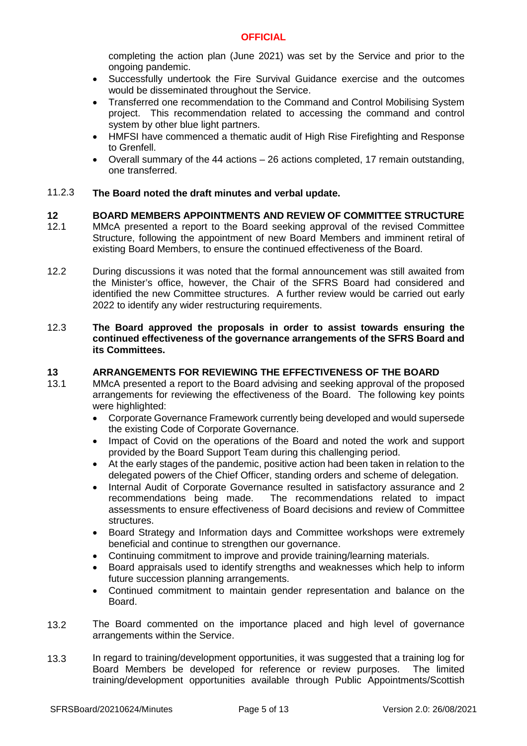completing the action plan (June 2021) was set by the Service and prior to the ongoing pandemic.

- Successfully undertook the Fire Survival Guidance exercise and the outcomes would be disseminated throughout the Service.
- Transferred one recommendation to the Command and Control Mobilising System project. This recommendation related to accessing the command and control system by other blue light partners.
- HMFSI have commenced a thematic audit of High Rise Firefighting and Response to Grenfell.
- Overall summary of the 44 actions 26 actions completed, 17 remain outstanding, one transferred.

#### 11.2.3 **The Board noted the draft minutes and verbal update.**

- **12 BOARD MEMBERS APPOINTMENTS AND REVIEW OF COMMITTEE STRUCTURE** 12.1 MMcA presented a report to the Board seeking approval of the revised Committee Structure, following the appointment of new Board Members and imminent retiral of existing Board Members, to ensure the continued effectiveness of the Board.
- 12.2 During discussions it was noted that the formal announcement was still awaited from the Minister's office, however, the Chair of the SFRS Board had considered and identified the new Committee structures. A further review would be carried out early 2022 to identify any wider restructuring requirements.

### 12.3 **The Board approved the proposals in order to assist towards ensuring the continued effectiveness of the governance arrangements of the SFRS Board and its Committees.**

### **13 ARRANGEMENTS FOR REVIEWING THE EFFECTIVENESS OF THE BOARD**

- 13.1 MMcA presented a report to the Board advising and seeking approval of the proposed arrangements for reviewing the effectiveness of the Board. The following key points were highlighted:
	- Corporate Governance Framework currently being developed and would supersede the existing Code of Corporate Governance.
	- Impact of Covid on the operations of the Board and noted the work and support provided by the Board Support Team during this challenging period.
	- At the early stages of the pandemic, positive action had been taken in relation to the delegated powers of the Chief Officer, standing orders and scheme of delegation.
	- Internal Audit of Corporate Governance resulted in satisfactory assurance and 2 recommendations being made. The recommendations related to impact The recommendations related to impact assessments to ensure effectiveness of Board decisions and review of Committee structures.
	- Board Strategy and Information days and Committee workshops were extremely beneficial and continue to strengthen our governance.
	- Continuing commitment to improve and provide training/learning materials.
	- Board appraisals used to identify strengths and weaknesses which help to inform future succession planning arrangements.
	- Continued commitment to maintain gender representation and balance on the Board.
- 13.2 The Board commented on the importance placed and high level of governance arrangements within the Service.
- 13.3 In regard to training/development opportunities, it was suggested that a training log for Board Members be developed for reference or review purposes. The limited training/development opportunities available through Public Appointments/Scottish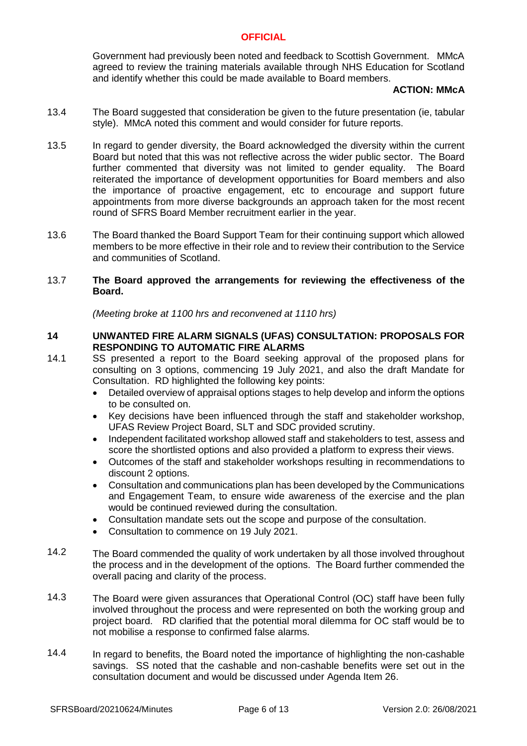Government had previously been noted and feedback to Scottish Government. MMcA agreed to review the training materials available through NHS Education for Scotland and identify whether this could be made available to Board members.

### **ACTION: MMcA**

- 13.4 The Board suggested that consideration be given to the future presentation (ie, tabular style). MMcA noted this comment and would consider for future reports.
- 13.5 In regard to gender diversity, the Board acknowledged the diversity within the current Board but noted that this was not reflective across the wider public sector. The Board further commented that diversity was not limited to gender equality. The Board reiterated the importance of development opportunities for Board members and also the importance of proactive engagement, etc to encourage and support future appointments from more diverse backgrounds an approach taken for the most recent round of SFRS Board Member recruitment earlier in the year.
- 13.6 The Board thanked the Board Support Team for their continuing support which allowed members to be more effective in their role and to review their contribution to the Service and communities of Scotland.

### 13.7 **The Board approved the arrangements for reviewing the effectiveness of the Board.**

*(Meeting broke at 1100 hrs and reconvened at 1110 hrs)*

### **14 UNWANTED FIRE ALARM SIGNALS (UFAS) CONSULTATION: PROPOSALS FOR RESPONDING TO AUTOMATIC FIRE ALARMS**

- 14.1 SS presented a report to the Board seeking approval of the proposed plans for consulting on 3 options, commencing 19 July 2021, and also the draft Mandate for Consultation. RD highlighted the following key points:
	- Detailed overview of appraisal options stages to help develop and inform the options to be consulted on.
	- Key decisions have been influenced through the staff and stakeholder workshop, UFAS Review Project Board, SLT and SDC provided scrutiny.
	- Independent facilitated workshop allowed staff and stakeholders to test, assess and score the shortlisted options and also provided a platform to express their views.
	- Outcomes of the staff and stakeholder workshops resulting in recommendations to discount 2 options.
	- Consultation and communications plan has been developed by the Communications and Engagement Team, to ensure wide awareness of the exercise and the plan would be continued reviewed during the consultation.
	- Consultation mandate sets out the scope and purpose of the consultation.
	- Consultation to commence on 19 July 2021.
- 14.2 The Board commended the quality of work undertaken by all those involved throughout the process and in the development of the options. The Board further commended the overall pacing and clarity of the process.
- 14.3 The Board were given assurances that Operational Control (OC) staff have been fully involved throughout the process and were represented on both the working group and project board. RD clarified that the potential moral dilemma for OC staff would be to not mobilise a response to confirmed false alarms.
- 14.4 In regard to benefits, the Board noted the importance of highlighting the non-cashable savings. SS noted that the cashable and non-cashable benefits were set out in the consultation document and would be discussed under Agenda Item 26.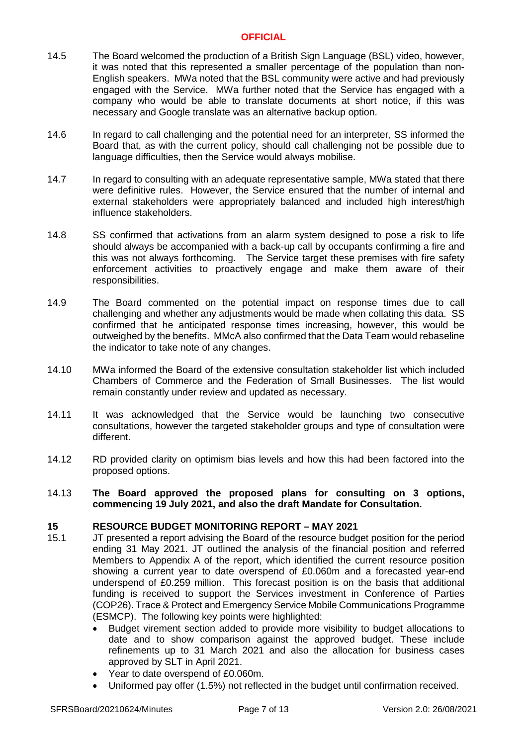- 14.5 The Board welcomed the production of a British Sign Language (BSL) video, however, it was noted that this represented a smaller percentage of the population than non-English speakers. MWa noted that the BSL community were active and had previously engaged with the Service. MWa further noted that the Service has engaged with a company who would be able to translate documents at short notice, if this was necessary and Google translate was an alternative backup option.
- 14.6 In regard to call challenging and the potential need for an interpreter, SS informed the Board that, as with the current policy, should call challenging not be possible due to language difficulties, then the Service would always mobilise.
- 14.7 In regard to consulting with an adequate representative sample, MWa stated that there were definitive rules. However, the Service ensured that the number of internal and external stakeholders were appropriately balanced and included high interest/high influence stakeholders.
- 14.8 SS confirmed that activations from an alarm system designed to pose a risk to life should always be accompanied with a back-up call by occupants confirming a fire and this was not always forthcoming. The Service target these premises with fire safety enforcement activities to proactively engage and make them aware of their responsibilities.
- 14.9 The Board commented on the potential impact on response times due to call challenging and whether any adjustments would be made when collating this data. SS confirmed that he anticipated response times increasing, however, this would be outweighed by the benefits. MMcA also confirmed that the Data Team would rebaseline the indicator to take note of any changes.
- 14.10 MWa informed the Board of the extensive consultation stakeholder list which included Chambers of Commerce and the Federation of Small Businesses. The list would remain constantly under review and updated as necessary.
- 14.11 It was acknowledged that the Service would be launching two consecutive consultations, however the targeted stakeholder groups and type of consultation were different.
- 14.12 RD provided clarity on optimism bias levels and how this had been factored into the proposed options.
- 14.13 **The Board approved the proposed plans for consulting on 3 options, commencing 19 July 2021, and also the draft Mandate for Consultation.**

# **15 RESOURCE BUDGET MONITORING REPORT – MAY 2021**

- 15.1 JT presented a report advising the Board of the resource budget position for the period ending 31 May 2021. JT outlined the analysis of the financial position and referred Members to Appendix A of the report, which identified the current resource position showing a current year to date overspend of £0.060m and a forecasted year-end underspend of £0.259 million. This forecast position is on the basis that additional funding is received to support the Services investment in Conference of Parties (COP26). Trace & Protect and Emergency Service Mobile Communications Programme (ESMCP). The following key points were highlighted:
	- Budget virement section added to provide more visibility to budget allocations to date and to show comparison against the approved budget. These include refinements up to 31 March 2021 and also the allocation for business cases approved by SLT in April 2021.
	- Year to date overspend of £0.060m.
	- Uniformed pay offer (1.5%) not reflected in the budget until confirmation received.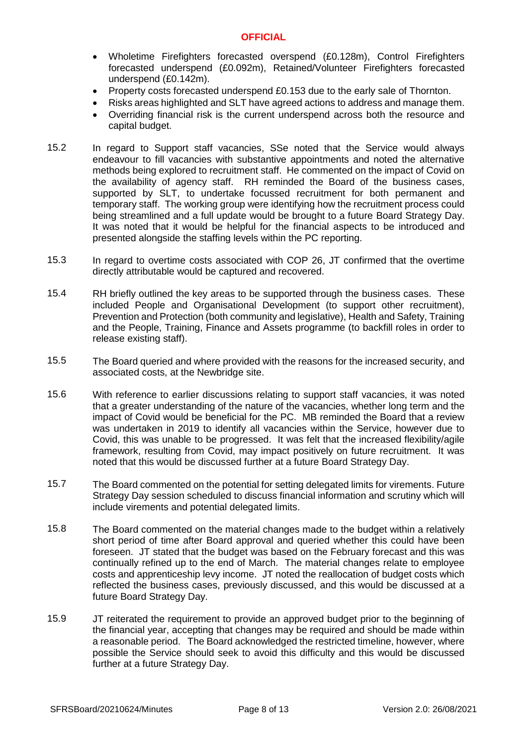- Wholetime Firefighters forecasted overspend (£0.128m), Control Firefighters forecasted underspend (£0.092m), Retained/Volunteer Firefighters forecasted underspend (£0.142m).
- Property costs forecasted underspend £0.153 due to the early sale of Thornton.
- Risks areas highlighted and SLT have agreed actions to address and manage them.
- Overriding financial risk is the current underspend across both the resource and capital budget.
- 15.2 In regard to Support staff vacancies, SSe noted that the Service would always endeavour to fill vacancies with substantive appointments and noted the alternative methods being explored to recruitment staff. He commented on the impact of Covid on the availability of agency staff. RH reminded the Board of the business cases, supported by SLT, to undertake focussed recruitment for both permanent and temporary staff. The working group were identifying how the recruitment process could being streamlined and a full update would be brought to a future Board Strategy Day. It was noted that it would be helpful for the financial aspects to be introduced and presented alongside the staffing levels within the PC reporting.
- 15.3 In regard to overtime costs associated with COP 26, JT confirmed that the overtime directly attributable would be captured and recovered.
- 15.4 RH briefly outlined the key areas to be supported through the business cases. These included People and Organisational Development (to support other recruitment), Prevention and Protection (both community and legislative), Health and Safety, Training and the People, Training, Finance and Assets programme (to backfill roles in order to release existing staff).
- 15.5 The Board queried and where provided with the reasons for the increased security, and associated costs, at the Newbridge site.
- 15.6 With reference to earlier discussions relating to support staff vacancies, it was noted that a greater understanding of the nature of the vacancies, whether long term and the impact of Covid would be beneficial for the PC. MB reminded the Board that a review was undertaken in 2019 to identify all vacancies within the Service, however due to Covid, this was unable to be progressed. It was felt that the increased flexibility/agile framework, resulting from Covid, may impact positively on future recruitment. It was noted that this would be discussed further at a future Board Strategy Day.
- 15.7 The Board commented on the potential for setting delegated limits for virements. Future Strategy Day session scheduled to discuss financial information and scrutiny which will include virements and potential delegated limits.
- 15.8 The Board commented on the material changes made to the budget within a relatively short period of time after Board approval and queried whether this could have been foreseen. JT stated that the budget was based on the February forecast and this was continually refined up to the end of March. The material changes relate to employee costs and apprenticeship levy income. JT noted the reallocation of budget costs which reflected the business cases, previously discussed, and this would be discussed at a future Board Strategy Day.
- 15.9 JT reiterated the requirement to provide an approved budget prior to the beginning of the financial year, accepting that changes may be required and should be made within a reasonable period. The Board acknowledged the restricted timeline, however, where possible the Service should seek to avoid this difficulty and this would be discussed further at a future Strategy Day.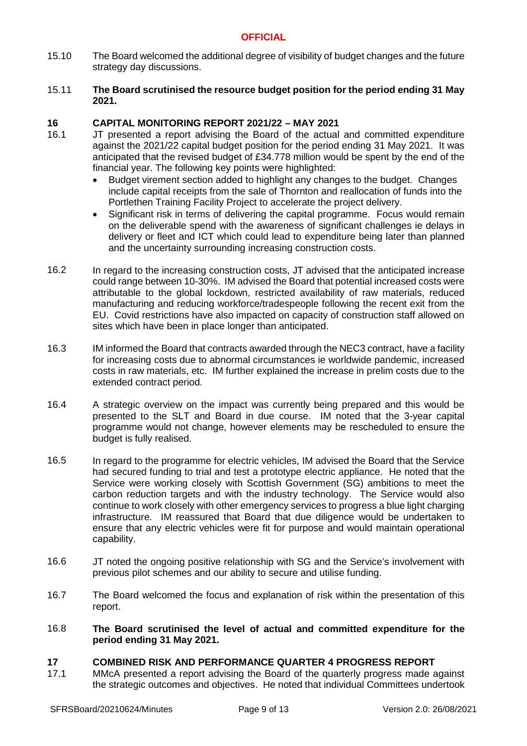- 15.10 The Board welcomed the additional degree of visibility of budget changes and the future strategy day discussions.
- 15.11 **The Board scrutinised the resource budget position for the period ending 31 May 2021.**

# **16 CAPITAL MONITORING REPORT 2021/22 – MAY 2021**

- 16.1 JT presented a report advising the Board of the actual and committed expenditure against the 2021/22 capital budget position for the period ending 31 May 2021. It was anticipated that the revised budget of £34.778 million would be spent by the end of the financial year. The following key points were highlighted:
	- Budget virement section added to highlight any changes to the budget. Changes include capital receipts from the sale of Thornton and reallocation of funds into the Portlethen Training Facility Project to accelerate the project delivery.
	- Significant risk in terms of delivering the capital programme. Focus would remain on the deliverable spend with the awareness of significant challenges ie delays in delivery or fleet and ICT which could lead to expenditure being later than planned and the uncertainty surrounding increasing construction costs.
- 16.2 In regard to the increasing construction costs, JT advised that the anticipated increase could range between 10-30%. IM advised the Board that potential increased costs were attributable to the global lockdown, restricted availability of raw materials, reduced manufacturing and reducing workforce/tradespeople following the recent exit from the EU. Covid restrictions have also impacted on capacity of construction staff allowed on sites which have been in place longer than anticipated.
- 16.3 IM informed the Board that contracts awarded through the NEC3 contract, have a facility for increasing costs due to abnormal circumstances ie worldwide pandemic, increased costs in raw materials, etc. IM further explained the increase in prelim costs due to the extended contract period.
- 16.4 A strategic overview on the impact was currently being prepared and this would be presented to the SLT and Board in due course. IM noted that the 3-year capital programme would not change, however elements may be rescheduled to ensure the budget is fully realised.
- 16.5 In regard to the programme for electric vehicles, IM advised the Board that the Service had secured funding to trial and test a prototype electric appliance. He noted that the Service were working closely with Scottish Government (SG) ambitions to meet the carbon reduction targets and with the industry technology. The Service would also continue to work closely with other emergency services to progress a blue light charging infrastructure. IM reassured that Board that due diligence would be undertaken to ensure that any electric vehicles were fit for purpose and would maintain operational capability.
- 16.6 JT noted the ongoing positive relationship with SG and the Service's involvement with previous pilot schemes and our ability to secure and utilise funding.
- 16.7 The Board welcomed the focus and explanation of risk within the presentation of this report.
- 16.8 **The Board scrutinised the level of actual and committed expenditure for the period ending 31 May 2021.**

# **17 COMBINED RISK AND PERFORMANCE QUARTER 4 PROGRESS REPORT**

MMcA presented a report advising the Board of the quarterly progress made against the strategic outcomes and objectives. He noted that individual Committees undertook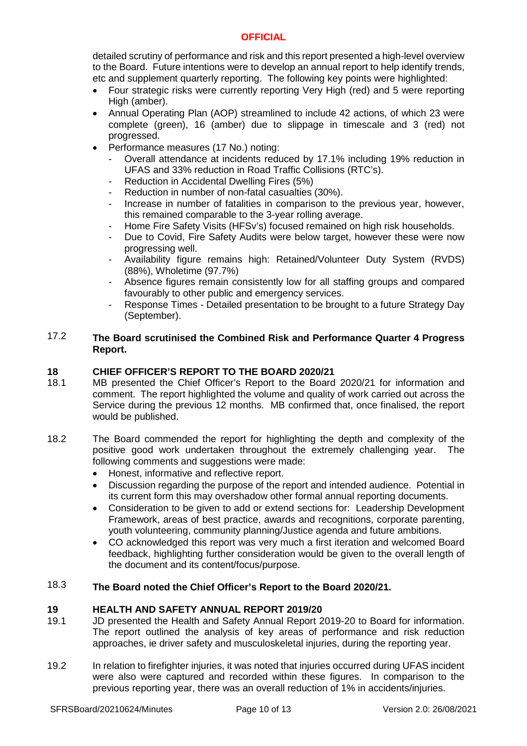detailed scrutiny of performance and risk and this report presented a high-level overview to the Board. Future intentions were to develop an annual report to help identify trends, etc and supplement quarterly reporting. The following key points were highlighted:

- Four strategic risks were currently reporting Very High (red) and 5 were reporting High (amber).
- Annual Operating Plan (AOP) streamlined to include 42 actions, of which 23 were complete (green), 16 (amber) due to slippage in timescale and 3 (red) not progressed.
- Performance measures (17 No.) noting:
	- Overall attendance at incidents reduced by 17.1% including 19% reduction in UFAS and 33% reduction in Road Traffic Collisions (RTC's).
	- Reduction in Accidental Dwelling Fires (5%)
	- Reduction in number of non-fatal casualties (30%).
	- Increase in number of fatalities in comparison to the previous year, however, this remained comparable to the 3-year rolling average.
	- Home Fire Safety Visits (HFSv's) focused remained on high risk households.
	- Due to Covid, Fire Safety Audits were below target, however these were now progressing well.
	- Availability figure remains high: Retained/Volunteer Duty System (RVDS) (88%), Wholetime (97.7%)
	- Absence figures remain consistently low for all staffing groups and compared favourably to other public and emergency services.
	- Response Times Detailed presentation to be brought to a future Strategy Day (September).

### 17.2 **The Board scrutinised the Combined Risk and Performance Quarter 4 Progress Report.**

# **18 CHIEF OFFICER'S REPORT TO THE BOARD 2020/21**

- 18.1 MB presented the Chief Officer's Report to the Board 2020/21 for information and comment. The report highlighted the volume and quality of work carried out across the Service during the previous 12 months. MB confirmed that, once finalised, the report would be published.
- 18.2 The Board commended the report for highlighting the depth and complexity of the positive good work undertaken throughout the extremely challenging year. The following comments and suggestions were made:
	- Honest, informative and reflective report.
	- Discussion regarding the purpose of the report and intended audience. Potential in its current form this may overshadow other formal annual reporting documents.
	- Consideration to be given to add or extend sections for: Leadership Development Framework, areas of best practice, awards and recognitions, corporate parenting, youth volunteering, community planning/Justice agenda and future ambitions.
	- CO acknowledged this report was very much a first iteration and welcomed Board feedback, highlighting further consideration would be given to the overall length of the document and its content/focus/purpose.

### 18.3 **The Board noted the Chief Officer's Report to the Board 2020/21.**

# **19 HEALTH AND SAFETY ANNUAL REPORT 2019/20**

- 19.1 JD presented the Health and Safety Annual Report 2019-20 to Board for information. The report outlined the analysis of key areas of performance and risk reduction approaches, ie driver safety and musculoskeletal injuries, during the reporting year.
- 19.2 In relation to firefighter injuries, it was noted that injuries occurred during UFAS incident were also were captured and recorded within these figures. In comparison to the previous reporting year, there was an overall reduction of 1% in accidents/injuries.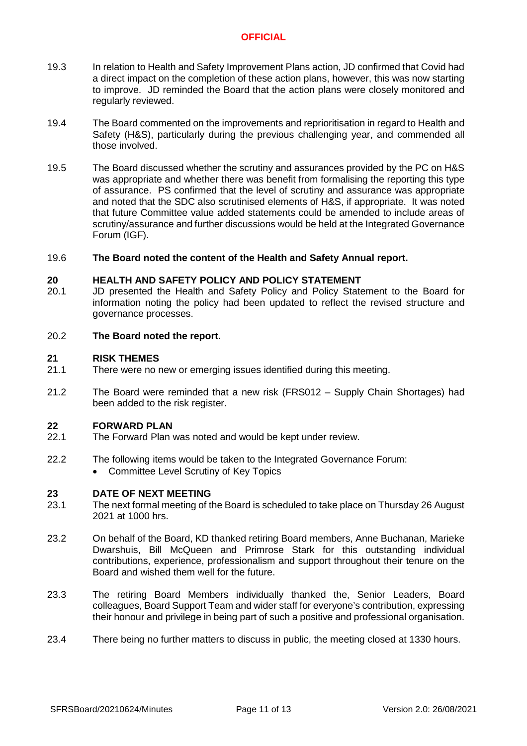- 19.3 In relation to Health and Safety Improvement Plans action, JD confirmed that Covid had a direct impact on the completion of these action plans, however, this was now starting to improve. JD reminded the Board that the action plans were closely monitored and regularly reviewed.
- 19.4 The Board commented on the improvements and reprioritisation in regard to Health and Safety (H&S), particularly during the previous challenging year, and commended all those involved.
- 19.5 The Board discussed whether the scrutiny and assurances provided by the PC on H&S was appropriate and whether there was benefit from formalising the reporting this type of assurance. PS confirmed that the level of scrutiny and assurance was appropriate and noted that the SDC also scrutinised elements of H&S, if appropriate. It was noted that future Committee value added statements could be amended to include areas of scrutiny/assurance and further discussions would be held at the Integrated Governance Forum (IGF).

#### 19.6 **The Board noted the content of the Health and Safety Annual report.**

### **20 HEALTH AND SAFETY POLICY AND POLICY STATEMENT**

20.1 JD presented the Health and Safety Policy and Policy Statement to the Board for information noting the policy had been updated to reflect the revised structure and governance processes.

#### 20.2 **The Board noted the report.**

### **21 RISK THEMES**

- 21.1 There were no new or emerging issues identified during this meeting.
- 21.2 The Board were reminded that a new risk (FRS012 – Supply Chain Shortages) had been added to the risk register.

### **22 FORWARD PLAN**

- 22.1 The Forward Plan was noted and would be kept under review.
- 22.2 The following items would be taken to the Integrated Governance Forum:
	- Committee Level Scrutiny of Key Topics

### **23 DATE OF NEXT MEETING**

- 23.1 The next formal meeting of the Board is scheduled to take place on Thursday 26 August 2021 at 1000 hrs.
- 23.2 On behalf of the Board, KD thanked retiring Board members, Anne Buchanan, Marieke Dwarshuis, Bill McQueen and Primrose Stark for this outstanding individual contributions, experience, professionalism and support throughout their tenure on the Board and wished them well for the future.
- 23.3 The retiring Board Members individually thanked the, Senior Leaders, Board colleagues, Board Support Team and wider staff for everyone's contribution, expressing their honour and privilege in being part of such a positive and professional organisation.
- 23.4 There being no further matters to discuss in public, the meeting closed at 1330 hours.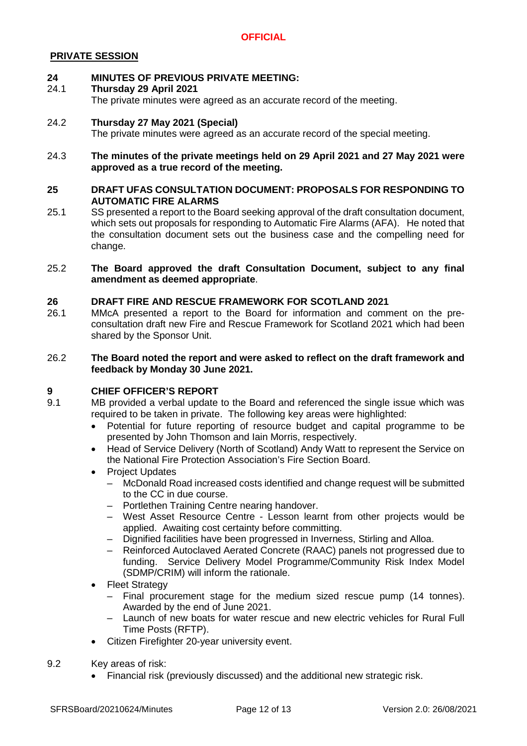# **PRIVATE SESSION**

#### **24 MINUTES OF PREVIOUS PRIVATE MEETING:**

#### 24.1 **Thursday 29 April 2021**

The private minutes were agreed as an accurate record of the meeting.

#### 24.2 **Thursday 27 May 2021 (Special)**

The private minutes were agreed as an accurate record of the special meeting.

### 24.3 **The minutes of the private meetings held on 29 April 2021 and 27 May 2021 were approved as a true record of the meeting.**

### **25 DRAFT UFAS CONSULTATION DOCUMENT: PROPOSALS FOR RESPONDING TO AUTOMATIC FIRE ALARMS**

25.1 SS presented a report to the Board seeking approval of the draft consultation document, which sets out proposals for responding to Automatic Fire Alarms (AFA). He noted that the consultation document sets out the business case and the compelling need for change.

### 25.2 **The Board approved the draft Consultation Document, subject to any final amendment as deemed appropriate**.

### **26 DRAFT FIRE AND RESCUE FRAMEWORK FOR SCOTLAND 2021**

26.1 MMcA presented a report to the Board for information and comment on the preconsultation draft new Fire and Rescue Framework for Scotland 2021 which had been shared by the Sponsor Unit.

### 26.2 **The Board noted the report and were asked to reflect on the draft framework and feedback by Monday 30 June 2021.**

### **9 CHIEF OFFICER'S REPORT**

9.1 MB provided a verbal update to the Board and referenced the single issue which was required to be taken in private. The following key areas were highlighted:

- Potential for future reporting of resource budget and capital programme to be presented by John Thomson and Iain Morris, respectively.
- Head of Service Delivery (North of Scotland) Andy Watt to represent the Service on the National Fire Protection Association's Fire Section Board.
- Project Updates
	- McDonald Road increased costs identified and change request will be submitted to the CC in due course.
	- Portlethen Training Centre nearing handover.
	- West Asset Resource Centre Lesson learnt from other projects would be applied. Awaiting cost certainty before committing.
	- Dignified facilities have been progressed in Inverness, Stirling and Alloa.
	- Reinforced Autoclaved Aerated Concrete (RAAC) panels not progressed due to funding. Service Delivery Model Programme/Community Risk Index Model (SDMP/CRIM) will inform the rationale.
- Fleet Strategy
	- Final procurement stage for the medium sized rescue pump (14 tonnes). Awarded by the end of June 2021.
	- Launch of new boats for water rescue and new electric vehicles for Rural Full Time Posts (RFTP).
- Citizen Firefighter 20-year university event.
- 9.2 Key areas of risk:
	- Financial risk (previously discussed) and the additional new strategic risk.